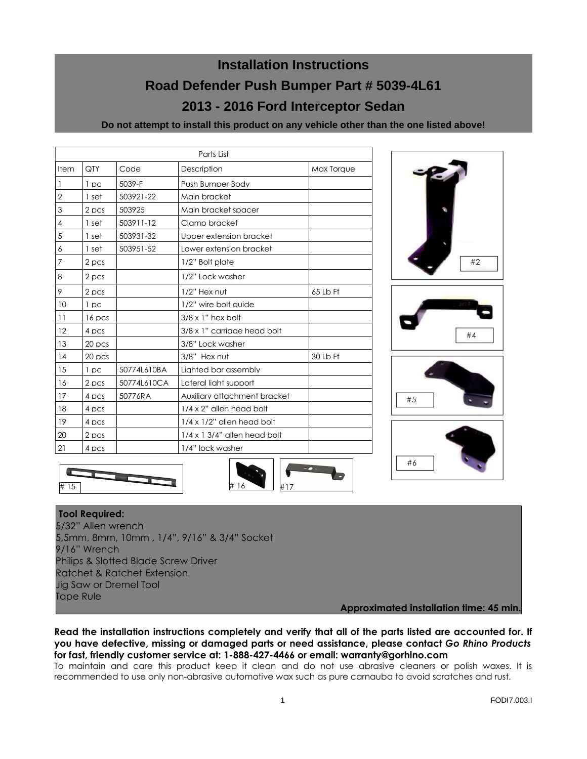# **Installation Instructions Road Defender Push Bumper Part # 5039-4L61 2013 - 2016 Ford Interceptor Sedan**

**Do not attempt to install this product on any vehicle other than the one listed above!**

| Parts List     |          |             |                                     |            |
|----------------|----------|-------------|-------------------------------------|------------|
| Item           | QTY      | Code        | Description                         | Max Torque |
| 1              | 1pc      | 5039-F      | Push Bumper Body                    |            |
| $\overline{2}$ | 1 set    | 503921-22   | Main bracket                        |            |
| 3              | 2 pcs    | 503925      | Main bracket spacer                 |            |
| 4              | 1 set    | 503911-12   | Clamp bracket                       |            |
| 5              | 1 set    | 503931-32   | Upper extension bracket             |            |
| 6              | 1 set    | 503951-52   | Lower extension bracket             |            |
| 7              | 2 pcs    |             | 1/2" Bolt plate                     |            |
| 8              | 2 pcs    |             | 1/2" Lock washer                    |            |
| 9              | 2 pcs    |             | 1/2" Hex nut                        | 65 Lb Ft   |
| 10             | 1pc      |             | 1/2" wire bolt auide                |            |
| 11             | 16 pcs   |             | $3/8 \times 1$ " hex bolt           |            |
| 12             | 4 pcs    |             | 3/8 x 1" carrigge head bolt         |            |
| 13             | 20 pcs   |             | 3/8" Lock washer                    |            |
| 14             | $20$ pcs |             | 3/8" Hex nut                        | 30 Lb Ft   |
| 15             | 1 pc     | 50774L610BA | Lighted bar assembly                |            |
| 16             | 2 pcs    | 50774L610CA | Lateral liaht support               |            |
| 17             | 4 pcs    | 50776RA     | Auxiliary attachment bracket        |            |
| 18             | 4 pcs    |             | $1/4 \times 2$ " allen head bolt    |            |
| 19             | 4 pcs    |             | $1/4 \times 1/2$ " allen head bolt  |            |
| 20             | 2 pcs    |             | $1/4 \times 1$ 3/4" allen head bolt |            |
| 21             | 4 pcs    |             | 1/4" lock washer                    |            |







#### **Tool Required:**

5/32" Allen wrench 5,5mm, 8mm, 10mm , 1/4", 9/16" & 3/4" Socket 9/16" Wrench Philips & Slotted Blade Screw Driver Ratchet & Ratchet Extension Jig Saw or Dremel Tool Tape Rule

# 15  $\# 16$   $\frac{1}{2}$   $\frac{1}{2}$ 

**Approximated installation time: 45 min.**

**Read the installation instructions completely and verify that all of the parts listed are accounted for. If you have defective, missing or damaged parts or need assistance, please contact** *Go Rhino Products* **for fast, friendly customer service at: 1-888-427-4466 or email: warranty@gorhino.com** 

To maintain and care this product keep it clean and do not use abrasive cleaners or polish waxes. It is recommended to use only non-abrasive automotive wax such as pure carnauba to avoid scratches and rust.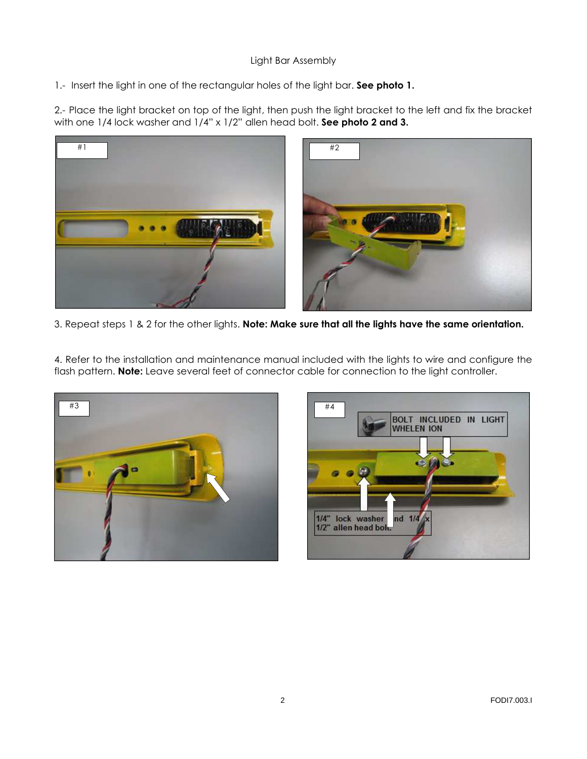# Light Bar Assembly

1.- Insert the light in one of the rectangular holes of the light bar. **See photo 1.**

2.- Place the light bracket on top of the light, then push the light bracket to the left and fix the bracket with one 1/4 lock washer and 1/4" x 1/2" allen head bolt. **See photo 2 and 3.**



3. Repeat steps 1 & 2 for the other lights. **Note: Make sure that all the lights have the same orientation.**

4. Refer to the installation and maintenance manual included with the lights to wire and configure the flash pattern. **Note:** Leave several feet of connector cable for connection to the light controller.



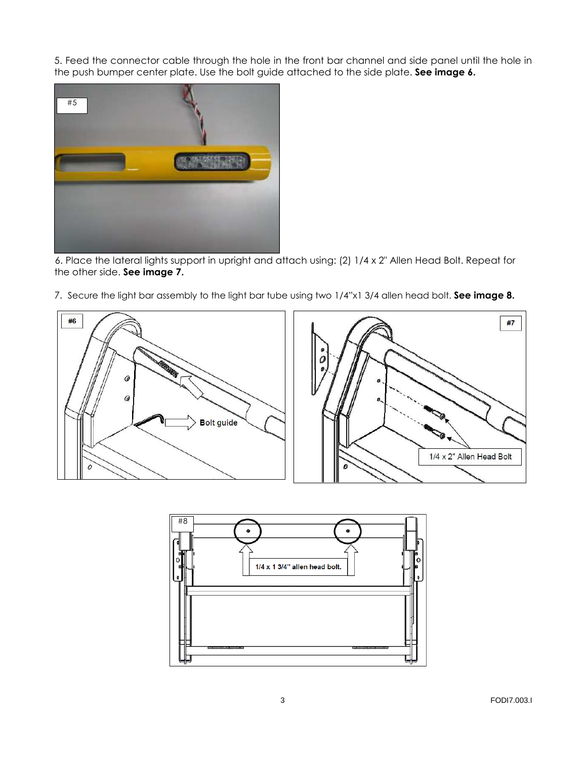5. Feed the connector cable through the hole in the front bar channel and side panel until the hole in the push bumper center plate. Use the bolt guide attached to the side plate. **See image 6.**



6. Place the lateral lights support in upright and attach using: (2) 1/4 x 2" Allen Head Bolt. Repeat for the other side. **See image 7.**

7. Secure the light bar assembly to the light bar tube using two 1/4"x1 3/4 allen head bolt. **See image 8.**



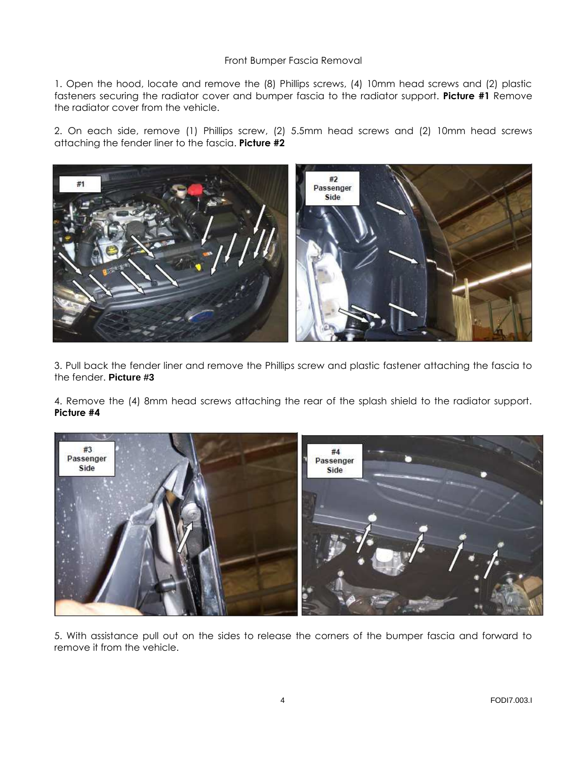## Front Bumper Fascia Removal

1. Open the hood, locate and remove the (8) Phillips screws, (4) 10mm head screws and (2) plastic fasteners securing the radiator cover and bumper fascia to the radiator support. **Picture #1** Remove the radiator cover from the vehicle.

2. On each side, remove (1) Phillips screw, (2) 5.5mm head screws and (2) 10mm head screws attaching the fender liner to the fascia. **Picture #2** 



3. Pull back the fender liner and remove the Phillips screw and plastic fastener attaching the fascia to the fender. **Picture #3** 

4. Remove the (4) 8mm head screws attaching the rear of the splash shield to the radiator support. **Picture #4**



5. With assistance pull out on the sides to release the corners of the bumper fascia and forward to remove it from the vehicle.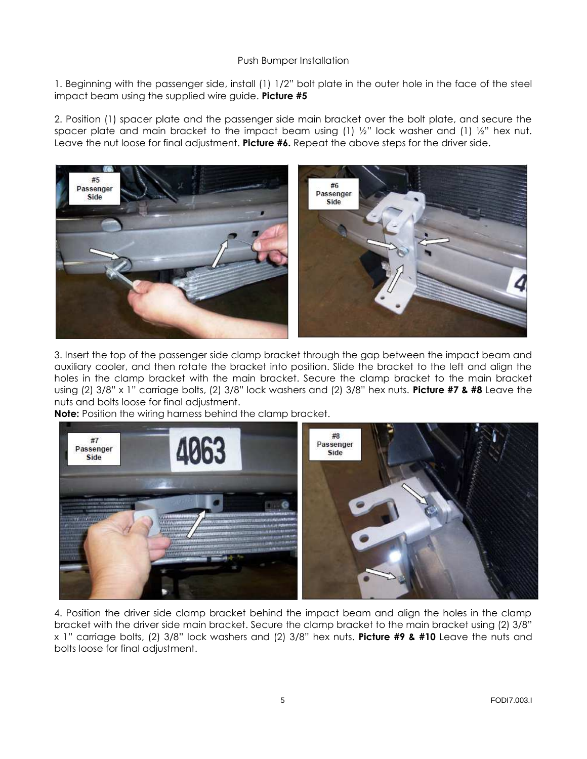## Push Bumper Installation

1. Beginning with the passenger side, install (1) 1/2" bolt plate in the outer hole in the face of the steel impact beam using the supplied wire guide. **Picture #5** 

2. Position (1) spacer plate and the passenger side main bracket over the bolt plate, and secure the spacer plate and main bracket to the impact beam using (1)  $\frac{1}{2}$ " lock washer and (1)  $\frac{1}{2}$ " hex nut. Leave the nut loose for final adjustment. **Picture #6.** Repeat the above steps for the driver side.



3. Insert the top of the passenger side clamp bracket through the gap between the impact beam and auxiliary cooler, and then rotate the bracket into position. Slide the bracket to the left and align the holes in the clamp bracket with the main bracket. Secure the clamp bracket to the main bracket using (2) 3/8" x 1" carriage bolts, (2) 3/8" lock washers and (2) 3/8" hex nuts. **Picture #7 & #8** Leave the nuts and bolts loose for final adjustment.

**Note:** Position the wiring harness behind the clamp bracket.



4. Position the driver side clamp bracket behind the impact beam and align the holes in the clamp bracket with the driver side main bracket. Secure the clamp bracket to the main bracket using (2) 3/8" x 1" carriage bolts, (2) 3/8" lock washers and (2) 3/8" hex nuts. **Picture #9 & #10** Leave the nuts and bolts loose for final adjustment.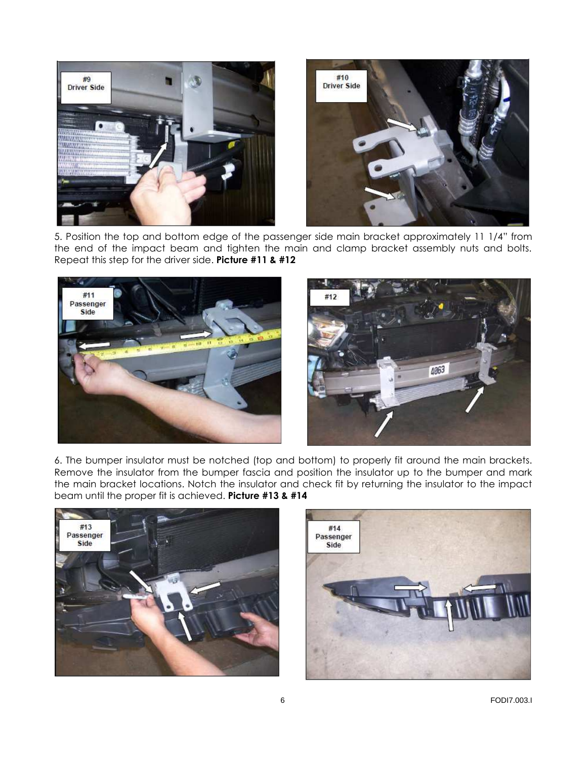

5. Position the top and bottom edge of the passenger side main bracket approximately 11 1/4" from the end of the impact beam and tighten the main and clamp bracket assembly nuts and bolts. Repeat this step for the driver side. **Picture #11 & #12** 



6. The bumper insulator must be notched (top and bottom) to properly fit around the main brackets. Remove the insulator from the bumper fascia and position the insulator up to the bumper and mark the main bracket locations. Notch the insulator and check fit by returning the insulator to the impact beam until the proper fit is achieved. **Picture #13 & #14**